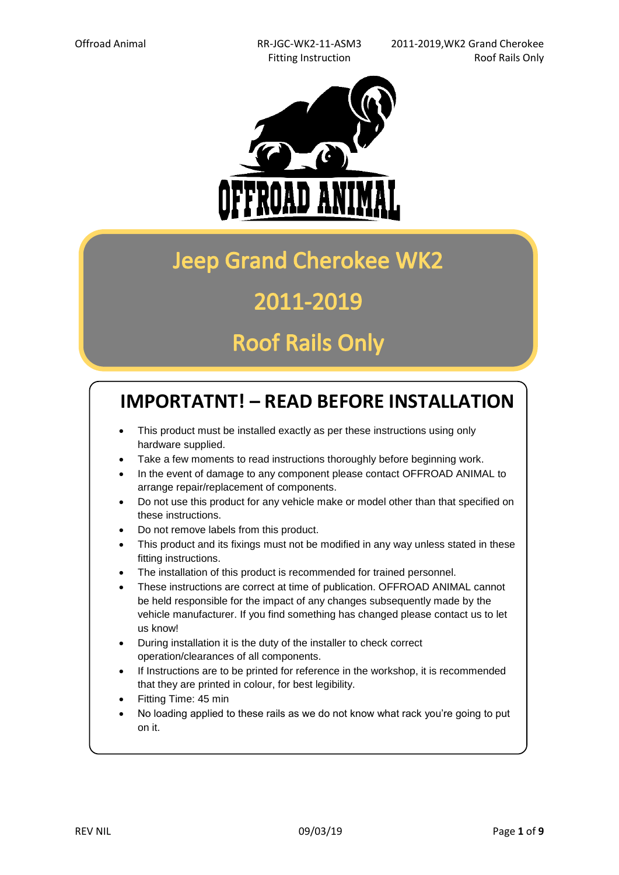

## **Jeep Grand Cherokee WK2**

### 2011-2019

### **Roof Rails Only**

### **IMPORTATNT! – READ BEFORE INSTALLATION**

- This product must be installed exactly as per these instructions using only hardware supplied.
- Take a few moments to read instructions thoroughly before beginning work.
- In the event of damage to any component please contact OFFROAD ANIMAL to arrange repair/replacement of components.
- Do not use this product for any vehicle make or model other than that specified on these instructions.
- Do not remove labels from this product.
- This product and its fixings must not be modified in any way unless stated in these fitting instructions.
- The installation of this product is recommended for trained personnel.
- These instructions are correct at time of publication. OFFROAD ANIMAL cannot be held responsible for the impact of any changes subsequently made by the vehicle manufacturer. If you find something has changed please contact us to let us know!
- During installation it is the duty of the installer to check correct operation/clearances of all components.
- If Instructions are to be printed for reference in the workshop, it is recommended that they are printed in colour, for best legibility.
- Fitting Time: 45 min
- No loading applied to these rails as we do not know what rack you're going to put on it.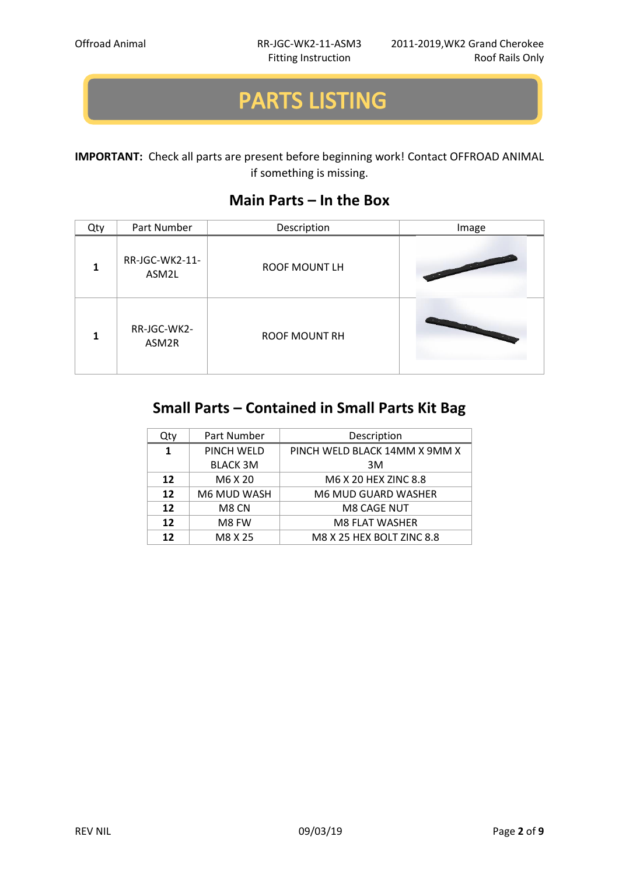# **PARTS LISTING**

#### **IMPORTANT:** Check all parts are present before beginning work! Contact OFFROAD ANIMAL if something is missing.

### **Main Parts – In the Box**

| Qty | Part Number             | Description          | Image                                                                                                                                                                                                                                                |
|-----|-------------------------|----------------------|------------------------------------------------------------------------------------------------------------------------------------------------------------------------------------------------------------------------------------------------------|
|     | RR-JGC-WK2-11-<br>ASM2L | <b>ROOF MOUNT LH</b> | <b>Contract Contract Contract Contract Contract Contract Contract Contract Contract Contract Contract Contract Contract Contract Contract Contract Contract Contract Contract Contract Contract Contract Contract Contract Contr</b>                 |
|     | RR-JGC-WK2-<br>ASM2R    | <b>ROOF MOUNT RH</b> | <b>Contract on the Contract of Contract on the Contract of Contract on the Contract of Contract on the Contract of Contract on the Contract of Contract on the Contract of Contract on the Contract of Contract on the Contract </b><br><b>STATE</b> |

### **Small Parts – Contained in Small Parts Kit Bag**

| Qty               | Part Number     | Description                   |
|-------------------|-----------------|-------------------------------|
| 1                 | PINCH WELD      | PINCH WELD BLACK 14MM X 9MM X |
|                   | <b>BLACK 3M</b> | 3M                            |
| $12 \ \mathrm{ }$ | M6 X 20         | M6 X 20 HEX ZINC 8.8          |
| 12                | M6 MUD WASH     | M6 MUD GUARD WASHER           |
| 12                | M8 CN           | <b>M8 CAGE NUT</b>            |
| 12                | M8 FW           | <b>M8 FLAT WASHER</b>         |
| 12                | M8 X 25         | M8 X 25 HEX BOLT ZINC 8.8     |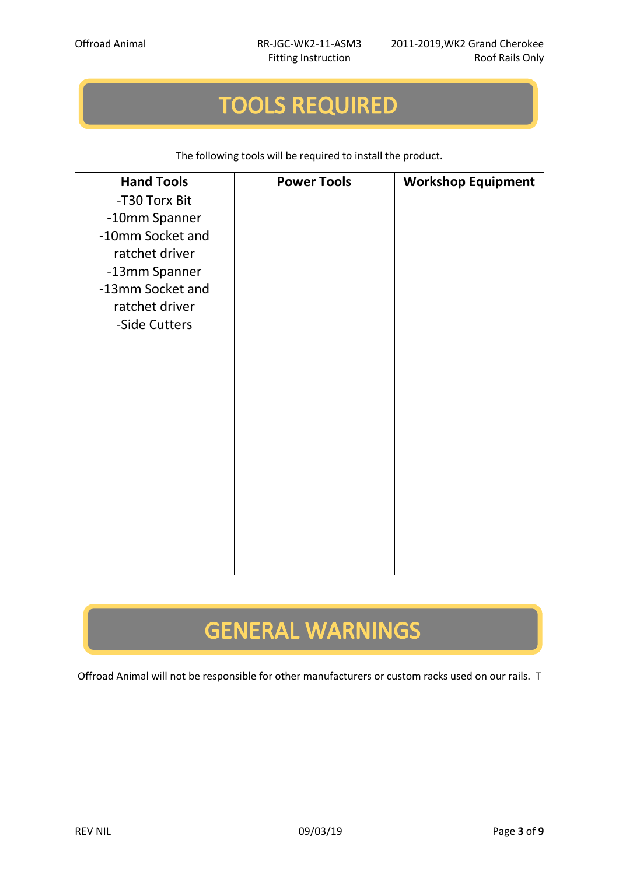## **TOOLS REQUIRED**

The following tools will be required to install the product.

| <b>Hand Tools</b> | <b>Power Tools</b> | <b>Workshop Equipment</b> |
|-------------------|--------------------|---------------------------|
| -T30 Torx Bit     |                    |                           |
| -10mm Spanner     |                    |                           |
| -10mm Socket and  |                    |                           |
| ratchet driver    |                    |                           |
| -13mm Spanner     |                    |                           |
| -13mm Socket and  |                    |                           |
| ratchet driver    |                    |                           |
| -Side Cutters     |                    |                           |
|                   |                    |                           |
|                   |                    |                           |
|                   |                    |                           |
|                   |                    |                           |
|                   |                    |                           |
|                   |                    |                           |
|                   |                    |                           |
|                   |                    |                           |
|                   |                    |                           |
|                   |                    |                           |
|                   |                    |                           |
|                   |                    |                           |
|                   |                    |                           |

# **GENERAL WARNINGS**

Offroad Animal will not be responsible for other manufacturers or custom racks used on our rails. T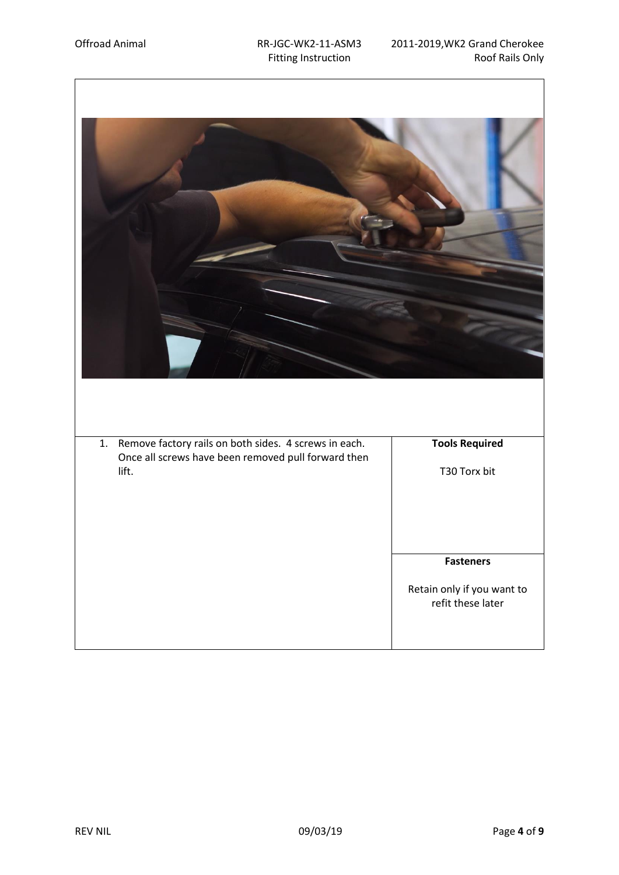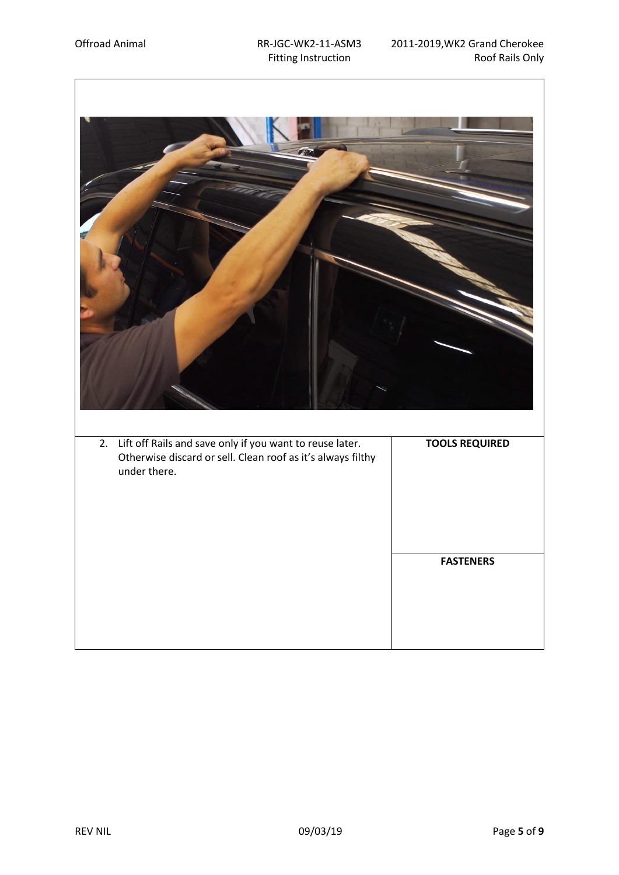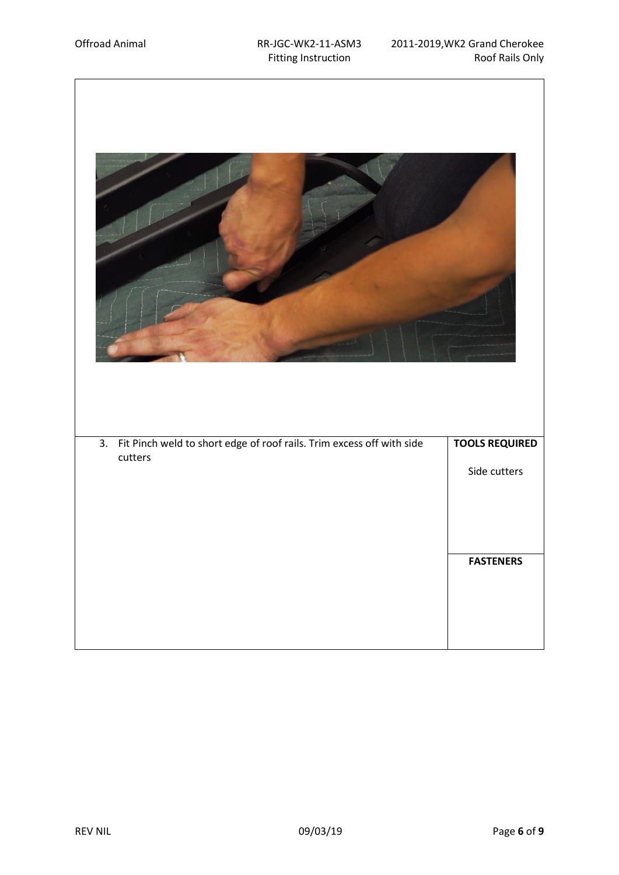| Fit Pinch weld to short edge of roof rails. Trim excess off with side<br>$\overline{3}$ .<br>cutters | <b>TOOLS REQUIRED</b> |
|------------------------------------------------------------------------------------------------------|-----------------------|
|                                                                                                      | Side cutters          |
|                                                                                                      |                       |
|                                                                                                      |                       |
|                                                                                                      | <b>FASTENERS</b>      |
|                                                                                                      |                       |
|                                                                                                      |                       |
|                                                                                                      |                       |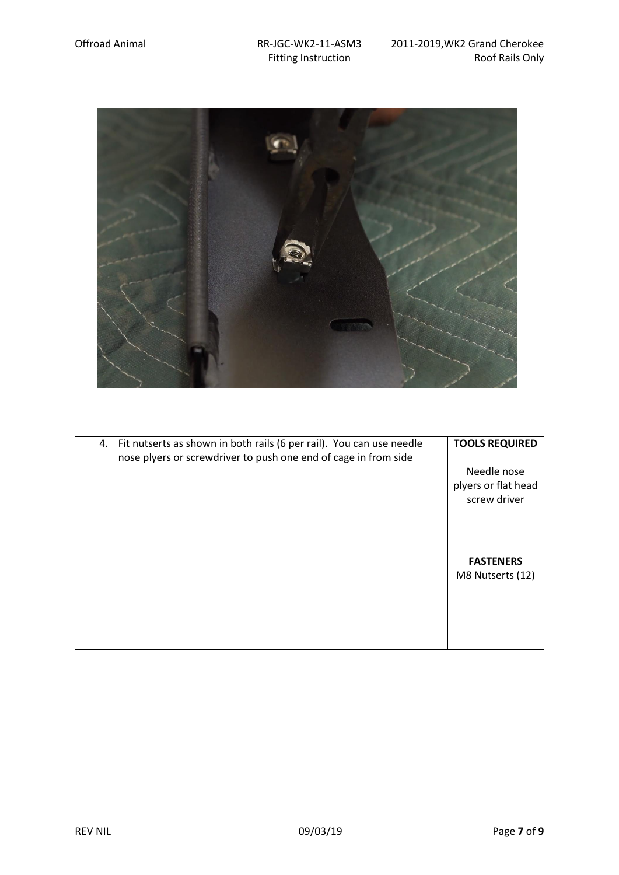| Fit nutserts as shown in both rails (6 per rail). You can use needle<br>4.<br>nose plyers or screwdriver to push one end of cage in from side | <b>TOOLS REQUIRED</b>              |
|-----------------------------------------------------------------------------------------------------------------------------------------------|------------------------------------|
|                                                                                                                                               | Needle nose<br>plyers or flat head |
|                                                                                                                                               | screw driver                       |
|                                                                                                                                               |                                    |
|                                                                                                                                               | <b>FASTENERS</b>                   |
|                                                                                                                                               | M8 Nutserts (12)                   |
|                                                                                                                                               |                                    |
|                                                                                                                                               |                                    |
|                                                                                                                                               |                                    |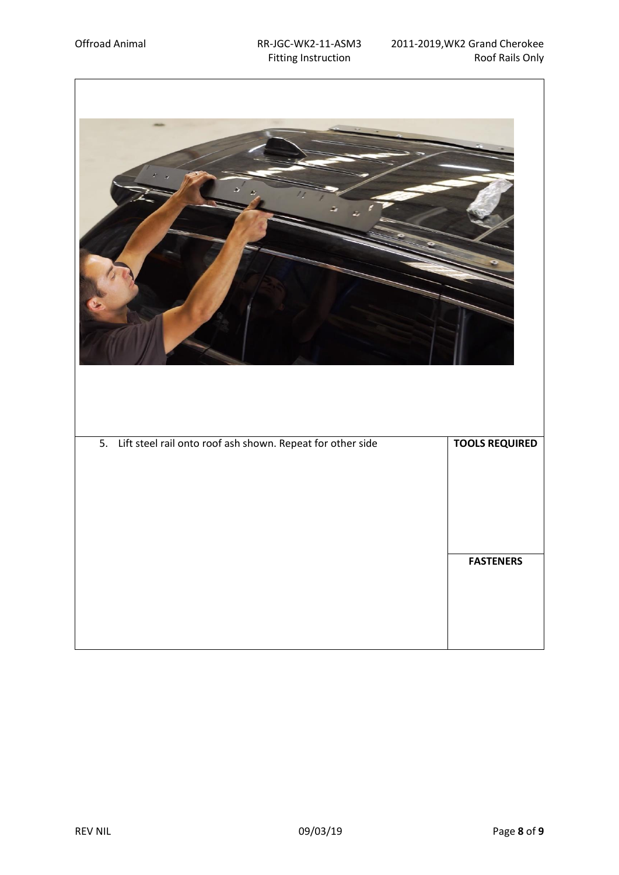$\lceil$ 

| 5. Lift steel rail onto roof ash shown. Repeat for other side | <b>TOOLS REQUIRED</b> |
|---------------------------------------------------------------|-----------------------|
|                                                               |                       |
|                                                               |                       |
|                                                               | <b>FASTENERS</b>      |
|                                                               |                       |
|                                                               |                       |